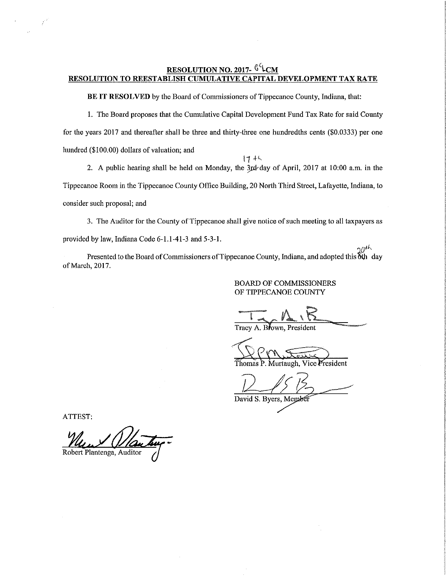### RESOLUTION NO. 2017- <sup>GL</sup>CM RESOLUTION TO REESTABLISH CUMULATIVE CAPITAL DEVELOPMENT TAX RATE

BE IT RESOLVED by the Board of Commissioners of Tippecanoe County, Indiana, that:

1. The Beard proposes that the Cumulative Capital Development Fund Tax Rate for said County for the years 2017 and thereafter shall be three and thirty-three one hundredths cents (\$0.0333) per one hundred (\$100.00) dollars of valuation; and  $17 + 4$ 

2. A public hearing shall be held on Monday, the 3rd-day of April, 2017 at 10:00 a.m. in the Tippecanoe Room in the Tippecanoe County Office Building, 20 North Third Street, Lafayette, Indiana, to consider such proposal; and

3. The Auditor for the County of Tippecanoe shall give notice of such meeting to all taxpayers as provided by law, Indiana Code 6—1.1-41-3 and 5-3-1.

 $20<sup>th</sup>$ Presented to the Board of Commissioners of Tippecanoe County, Indiana, and adopted this  $\delta \phi$  day of March, 2017.

### BOARD OF COMMISSIONERS OF TIPPECANOE COUNTY

Tracy A. Brown, President

Thomas P. Murtaugh, Vice President

 $\left\langle\frac{1}{2}\right\rangle$ 

David S. Byers, Member

ATTEST:

Robert Plantenga, Auditor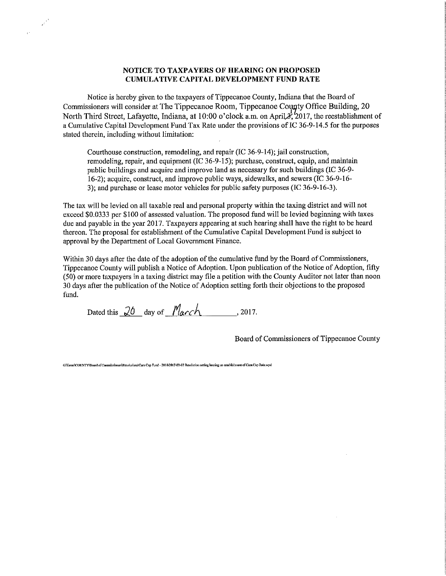#### NOTICE TO TAXPAYERS OF HEARING ON PROPOSED CUMULATIVE CAPITAL DEVELOPMENT FUND RATE

Notice is hereby given to the taxpayers of Tippecanoe County, Indiana that the Board of Commissioners will consider at The Tippecanoe Room, Tippecanoe County Office Building, 20 North Third Street, Lafayette, Indiana, at 10:00 o'clock a.m. on April  $\lambda$ , 2017, the reestablishment of <sup>a</sup> Cumulative Capital Development Fund Tax Rate under the provisions of IC 36-9445 for the purposes stated therein, including without limitation:

Courthouse construction, remodeling, and repair (IC 36-9-14); jail construction, remodeling, repair, and equipment (IC 36-9-15); purchase, construct, equip, and maintain public buildings and acquire and improve land as necessary for such buildings (IC 36-9- 16—2); acquire, construct, and improve public ways, sidewalks, and sewers (IC 36—9—16— 3); and purchase or lease motor vehicles for public safety purposes (IC 36-9-16-3).

The tax will be levied on all taxable real and personal property within the taxing district and will not exceed \$0.0333 per \$100 of assessed valuation. The proposed fund will be levied beginning with taxes due and payable in the year 2017. Taxpayers appearing at such hearing shall have the right to be heard thereon. The proposal for establishment of the Cumulative Capital Development Fund is subject to approval by the Department of Local Government Finance.

Within 30 days after the date of the adoption of the cumulative fund by the Board of Commissioners, Tippecanoe County will publish a Notice of Adoption. Upon publication of the Notice of Adoption, fifty (50) or more taxpayers in <sup>a</sup> taxing district may file <sup>a</sup> petition with the County Auditor not later than noon 30 days after the publication of the Notice of Adoption setting forth their objections to the proposed fund.

Dated this  $20$  day of  $March$ , 2017.

 $e^{i\frac{\lambda}{2}}$ 

Board of Commissioners of Tippecanoe County

G/ferms/COUNTY/Board of Commissioners/Resolutions/Cum Cap Fund - 2018/2017-03-02 Resolution setting hearing on establishment of Cum Cap Rate.wpd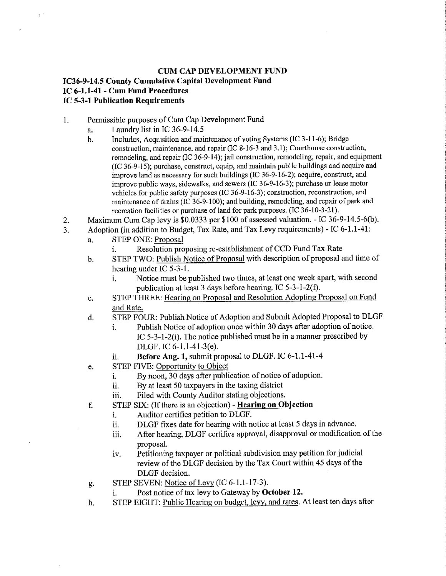# CUM CAP DEVELOPMENT FUND

# IC36-9-14.5 County Cumulative Capital Development Fund 1C 6—1.1—41 - Cum Fund Procedures IC 5—3-1 Publication Requirements

- 1. Permissible purposes of Cum Cap Development Fund
	- a. Laundry list in IC 36-9-14.5

 $\delta^{-1}$ 

- b. Includes, Acquisition and maintenance of voting Systems (IC 3—1 1—6); Bridge construction, maintenance, and repair (IC 8-16-3 and 3.1); Courthouse construction, remodeling, and repair (IC 36-9-14); jail construction, remodeling, repair, and equipment  $(IC 36-9-15)$ ; purchase, construct, equip, and maintain public buildings and acquire and improve land as necessary for such buildings (IC 36—9-16—2); acquire, construct, and improve public ways, sidewalks, and sewers (1C 36-9-16-3); purchase or lease motor vehicles for public safety purposes (IC 36-9-16-3); construction, reconstruction, and maintenance of drains (IC 36-9-100); and building, remodeling, and repair of park and recreation facilities or purchase of land for park purposes. (IC 36-10-3-21).
- 2. Maximum Cum Cap levy is \$0.0333 per \$100 of assessed valuation. IC 36-9-14.5-6(b).
- 3. Adoption (in addition to Budget, Tax Rate, and Tax Levy requirements) IC 6-1.1-4i:
	- a. STEP ONE: Proposal
		- i. Resolution proposing re-establishment of CCD Fund Tax Rate
	- b. STEP TWO: Publish Notice of Proposal with description of proposal and time of hearing under IC 5-3—1.
		- i. Notice must be published two times, at least one week apart, with second publication at least 3 days before hearing. IC  $5-3-1-2(f)$ .
	- STEP THREE: Hearing on Proposal and Resolution Adopting Proposal on Fund c. and Rate.
	- STEP FOUR: Publish Notice of Adoption and Submit Adopted Proposal to DLGF d.
		- i. Publish Notice of adoption once within 30 days after adoption of notice. IC 5~3-1-2(i). The notice published must be in <sup>a</sup> manner prescribed by DLGF. 1C 6-1.1-41—3(e).
		- ii. Before Aug. 1, submit proposal to DLGF. 1C 6-1.1-41—4
	- STEP FIVE: Opportunity to Object e.
		- i. By noon, 30 days after publication of notice of adoption.
		- ii. By at least <sup>50</sup> taxpayers in the taxing district
		- iii. Filed with County Auditor stating objections.
	- STEP SIX: (If there is an objection) Hearing on Objection  $f_{\cdot}$ 
		- i. Auditor certifies petition to DLGF.
		- ii. DLGF fixes date for hearing with notice at least 5 days in advance.
		- iii. After hearing, DLGF certifies approval, disapproval or modification of the proposal.
		- iv. Petitioning taxpayer or political subdivision may petition for judicial review of the DLGF decision by the Tax Court within 45 days of the DLGF decision.
	- STEP SEVEN: Notice of Levy (IC 6-1.1-17-3). g.
		- i. Post notice of tax levy to Gateway by October 12.
	- STEP EIGHT: Public Hearing on budget, levy, and rates. At least ten days afterh.